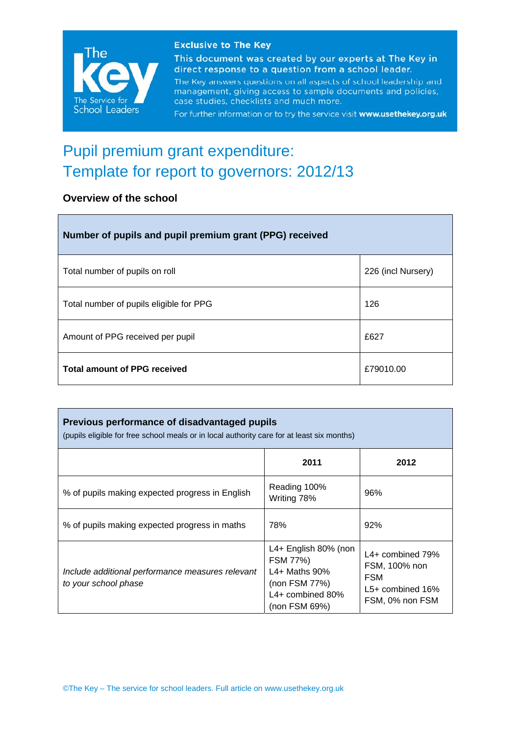

#### **Exclusive to The Key**

This document was created by our experts at The Key in direct response to a question from a school leader.

The Key answers questions on all aspects of school leadership and management, giving access to sample documents and policies, case studies, checklists and much more.

For further information or to try the service visit www.usethekey.org.uk

# Pupil premium grant expenditure: Template for report to governors: 2012/13

## **Overview of the school**

| Number of pupils and pupil premium grant (PPG) received |                    |  |  |
|---------------------------------------------------------|--------------------|--|--|
| Total number of pupils on roll                          | 226 (incl Nursery) |  |  |
| Total number of pupils eligible for PPG                 | 126                |  |  |
| Amount of PPG received per pupil                        | £627               |  |  |
| <b>Total amount of PPG received</b>                     | £79010.00          |  |  |

| Previous performance of disadvantaged pupils<br>(pupils eligible for free school meals or in local authority care for at least six months) |                                                                                                                  |                                                                                            |  |  |
|--------------------------------------------------------------------------------------------------------------------------------------------|------------------------------------------------------------------------------------------------------------------|--------------------------------------------------------------------------------------------|--|--|
|                                                                                                                                            | 2011                                                                                                             | 2012                                                                                       |  |  |
| % of pupils making expected progress in English                                                                                            | Reading 100%<br>Writing 78%                                                                                      | 96%                                                                                        |  |  |
| % of pupils making expected progress in maths                                                                                              | 78%                                                                                                              | 92%                                                                                        |  |  |
| Include additional performance measures relevant<br>to your school phase                                                                   | L4+ English 80% (non<br>FSM 77%)<br>L4+ Maths $90\%$<br>(non FSM $77\%$ )<br>$L4+$ combined 80%<br>(non FSM 69%) | $L4+$ combined 79%<br>FSM, 100% non<br><b>FSM</b><br>$L5+$ combined 16%<br>FSM, 0% non FSM |  |  |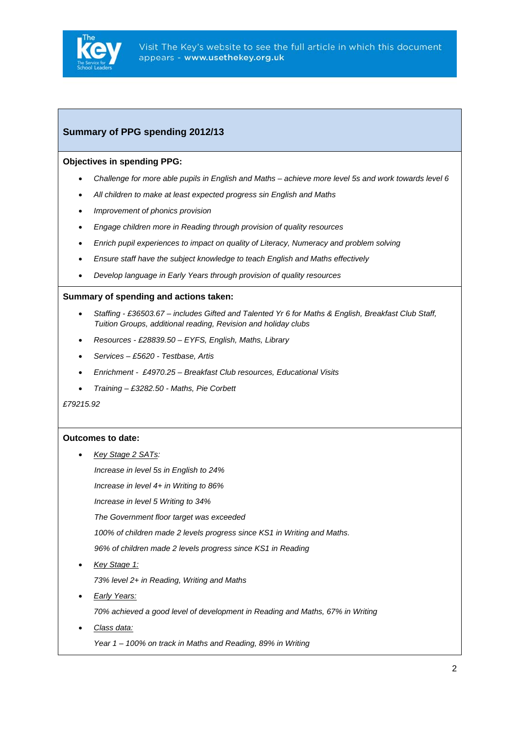

### **Summary of PPG spending 2012/13**

#### **Objectives in spending PPG:**

- *Challenge for more able pupils in English and Maths achieve more level 5s and work towards level 6*
- *All children to make at least expected progress sin English and Maths*
- *Improvement of phonics provision*
- *Engage children more in Reading through provision of quality resources*
- *Enrich pupil experiences to impact on quality of Literacy, Numeracy and problem solving*
- *Ensure staff have the subject knowledge to teach English and Maths effectively*
- *Develop language in Early Years through provision of quality resources*

#### **Summary of spending and actions taken:**

- *Staffing £36503.67 includes Gifted and Talented Yr 6 for Maths & English, Breakfast Club Staff, Tuition Groups, additional reading, Revision and holiday clubs*
- *Resources £28839.50 EYFS, English, Maths, Library*
- *Services £5620 Testbase, Artis*
- *Enrichment £4970.25 Breakfast Club resources, Educational Visits*
- *Training £3282.50 Maths, Pie Corbett*

*£79215.92* 

#### **Outcomes to date:**

- *Key Stage 2 SATs: Increase in level 5s in English to 24% Increase in level 4+ in Writing to 86% Increase in level 5 Writing to 34% The Government floor target was exceeded 100% of children made 2 levels progress since KS1 in Writing and Maths. 96% of children made 2 levels progress since KS1 in Reading*  • *Key Stage 1: 73% level 2+ in Reading, Writing and Maths*  • *Early Years:*
	- *70% achieved a good level of development in Reading and Maths, 67% in Writing*
- *Class data:*
	- *Year 1 100% on track in Maths and Reading, 89% in Writing*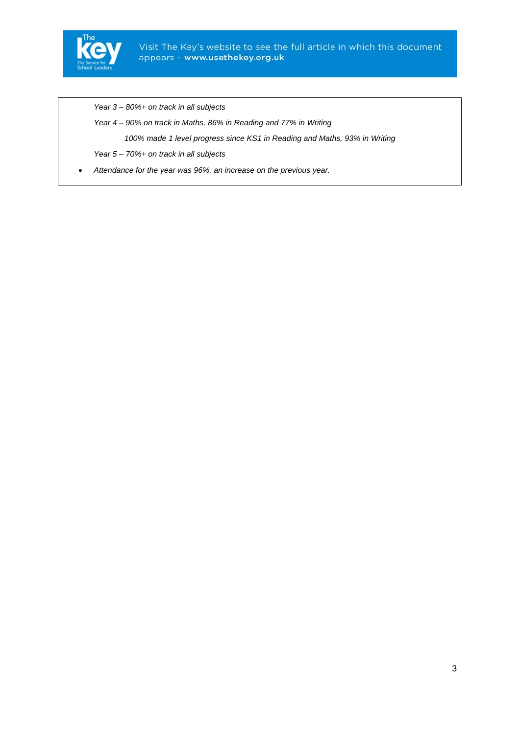

*Year 3 – 80%+ on track in all subjects* 

*Year 4 – 90% on track in Maths, 86% in Reading and 77% in Writing* 

 *100% made 1 level progress since KS1 in Reading and Maths, 93% in Writing* 

*Year 5 – 70%+ on track in all subjects* 

• *Attendance for the year was 96%, an increase on the previous year.*